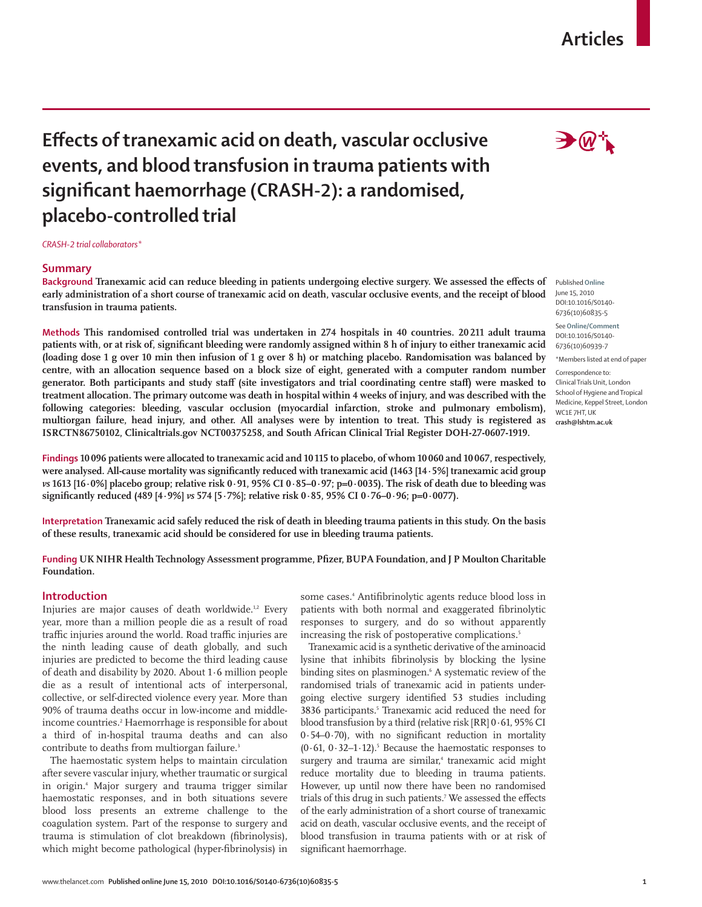# **Articles**

# **Eff ects of tranexamic acid on death, vascular occlusive events, and blood transfusion in trauma patients with signifi cant haemorrhage (CRASH-2): a randomised, placebo-controlled trial**

*CRASH-2 trial collaborators\**

## **Summary**

**Background Tranexamic acid can reduce bleeding in patients undergoing elective surgery. We assessed the effects of** *Published Online* **early administration of a short course of tranexamic acid on death, vascular occlusive events, and the receipt of blood transfusion in trauma patients.**

**Methods This randomised controlled trial was undertaken in 274 hospitals in 40 countries. 20 211 adult trauma**  patients with, or at risk of, significant bleeding were randomly assigned within 8 h of injury to either tranexamic acid **(loading dose 1 g over 10 min then infusion of 1 g over 8 h) or matching placebo. Randomisation was balanced by centre, with an allocation sequence based on a block size of eight, generated with a computer random number generator. Both participants and study staff (site investigators and trial coordinating centre staff ) were masked to treatment allocation. The primary outcome was death in hospital within 4 weeks of injury, and was described with the following categories: bleeding, vascular occlusion (myocardial infarction, stroke and pulmonary embolism), multiorgan failure, head injury, and other. All analyses were by intention to treat. This study is registered as ISRCTN86750102, Clinicaltrials.gov NCT00375258, and South African Clinical Trial Register DOH-27-0607-1919.**

**Findings 10 096 patients were allocated to tranexamic acid and 10 115 to placebo, of whom 10 060 and 10 067, respectively, were analysed. All-cause mortality was significantly reduced with tranexamic acid (1463 [14·5%] tranexamic acid group**  *vs* **1613 [16·0%] placebo group; relative risk 0·91, 95% CI 0·85–0·97; p=0·0035). The risk of death due to bleeding was signifi cantly reduced (489 [4·9%]** *vs* **574 [5·7%]; relative risk 0·85, 95% CI 0·76–0·96; p=0·0077).** 

**Interpretation Tranexamic acid safely reduced the risk of death in bleeding trauma patients in this study. On the basis of these results, tranexamic acid should be considered for use in bleeding trauma patients.**

## Funding UK NIHR Health Technology Assessment programme, Pfizer, BUPA Foundation, and J P Moulton Charitable **Foundation.**

## **Introduction**

Injuries are major causes of death worldwide.<sup>1,2</sup> Every year, more than a million people die as a result of road traffic injuries around the world. Road traffic injuries are the ninth leading cause of death globally, and such injuries are predicted to become the third leading cause of death and disability by 2020. About 1·6 million people die as a result of intentional acts of interpersonal, collective, or self-directed violence every year. More than 90% of trauma deaths occur in low-income and middleincome countries.2 Haemorrhage is responsible for about a third of in-hospital trauma deaths and can also contribute to deaths from multiorgan failure.<sup>3</sup>

The haemostatic system helps to maintain circulation after severe vascular injury, whether traumatic or surgical in origin.4 Major surgery and trauma trigger similar haemostatic responses, and in both situations severe blood loss presents an extreme challenge to the coagulation system. Part of the response to surgery and trauma is stimulation of clot breakdown (fibrinolysis), which might become pathological (hyper-fibrinolysis) in

some cases.<sup>4</sup> Antifibrinolytic agents reduce blood loss in patients with both normal and exaggerated fibrinolytic responses to surgery, and do so without apparently increasing the risk of postoperative complications.<sup>5</sup>

Tranexamic acid is a synthetic derivative of the aminoacid lysine that inhibits fibrinolysis by blocking the lysine binding sites on plasminogen.<sup>6</sup> A systematic review of the randomised trials of tranexamic acid in patients undergoing elective surgery identified 53 studies including 3836 participants.<sup>5</sup> Tranexamic acid reduced the need for blood transfusion by a third (relative risk [RR] 0·61, 95% CI  $0.54-0.70$ ), with no significant reduction in mortality  $(0.61, 0.32-1.12)$ .<sup>5</sup> Because the haemostatic responses to surgery and trauma are similar,<sup>4</sup> tranexamic acid might reduce mortality due to bleeding in trauma patients. However, up until now there have been no randomised trials of this drug in such patients.<sup>7</sup> We assessed the effects of the early administration of a short course of tranexamic acid on death, vascular occlusive events, and the receipt of blood transfusion in trauma patients with or at risk of significant haemorrhage.



June 15, 2010 DOI:10.1016/S0140- 6736(10)60835-5 See **Online/Comment** DOI:10.1016/S0140-

6736(10)60939-7

\*Members listed at end of paper

Correspondence to: Clinical Trials Unit, London School of Hygiene and Tropical Medicine, Keppel Street, London WC1E 7HT, UK **crash@lshtm.ac.uk**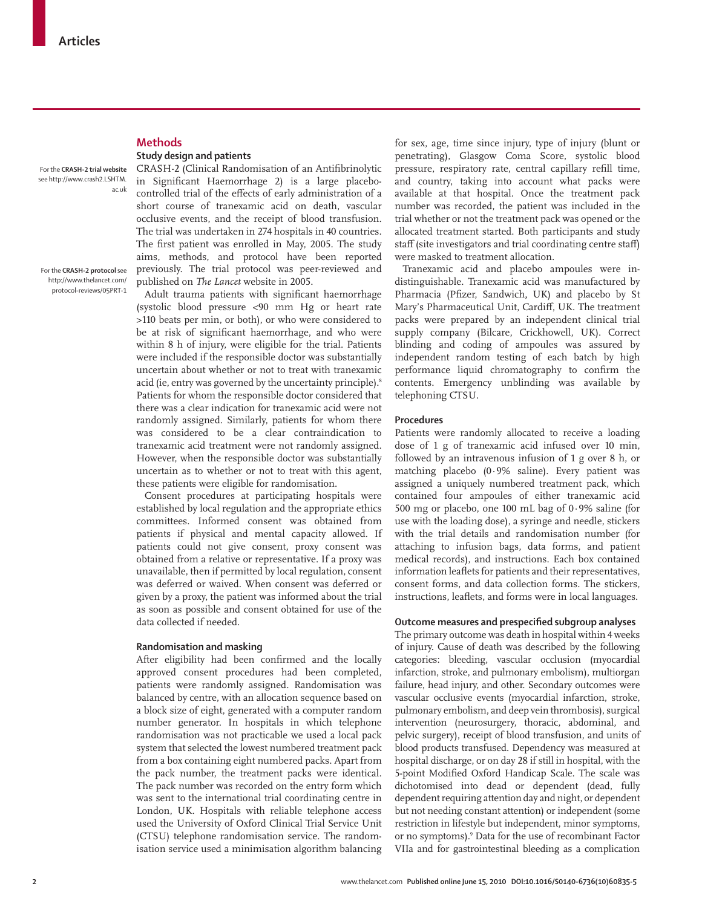# **Methods**

#### **Study design and patients**

CRASH-2 (Clinical Randomisation of an Antifibrinolytic in Significant Haemorrhage 2) is a large placebocontrolled trial of the effects of early administration of a short course of tranexamic acid on death, vascular occlusive events, and the receipt of blood transfusion. The trial was undertaken in 274 hospitals in 40 countries. The first patient was enrolled in May, 2005. The study aims, methods, and protocol have been reported previously. The trial protocol was peer-reviewed and published on *The Lancet* website in 2005.

Adult trauma patients with significant haemorrhage (systolic blood pressure <90 mm Hg or heart rate >110 beats per min, or both), or who were considered to be at risk of significant haemorrhage, and who were within 8 h of injury, were eligible for the trial. Patients were included if the responsible doctor was substantially uncertain about whether or not to treat with tranexamic acid (ie, entry was governed by the uncertainty principle).<sup>8</sup> Patients for whom the responsible doctor considered that there was a clear indication for tranexamic acid were not randomly assigned. Similarly, patients for whom there was considered to be a clear contraindication to tranexamic acid treatment were not randomly assigned. However, when the responsible doctor was substantially uncertain as to whether or not to treat with this agent, these patients were eligible for randomisation.

Consent procedures at participating hospitals were established by local regulation and the appropriate ethics committees. Informed consent was obtained from patients if physical and mental capacity allowed. If patients could not give consent, proxy consent was obtained from a relative or representative. If a proxy was unavailable, then if permitted by local regulation, consent was deferred or waived. When consent was deferred or given by a proxy, the patient was informed about the trial as soon as possible and consent obtained for use of the data collected if needed.

#### **Randomisation and masking**

After eligibility had been confirmed and the locally approved consent procedures had been completed, patients were randomly assigned. Randomisation was balanced by centre, with an allocation sequence based on a block size of eight, generated with a computer random number generator. In hospitals in which telephone randomisation was not practicable we used a local pack system that selected the lowest numbered treatment pack from a box containing eight numbered packs. Apart from the pack number, the treatment packs were identical. The pack number was recorded on the entry form which was sent to the international trial coordinating centre in London, UK. Hospitals with reliable telephone access used the University of Oxford Clinical Trial Service Unit (CTSU) telephone randomisation service. The randomisation service used a minimisation algorithm balancing

for sex, age, time since injury, type of injury (blunt or penetrating), Glasgow Coma Score, systolic blood pressure, respiratory rate, central capillary refill time, and country, taking into account what packs were available at that hospital. Once the treatment pack number was recorded, the patient was included in the trial whether or not the treatment pack was opened or the allocated treatment started. Both participants and study staff (site investigators and trial coordinating centre staff) were masked to treatment allocation.

Tranexamic acid and placebo ampoules were indistinguishable. Tranexamic acid was manufactured by Pharmacia (Pfizer, Sandwich, UK) and placebo by St Mary's Pharmaceutical Unit, Cardiff, UK. The treatment packs were prepared by an independent clinical trial supply company (Bilcare, Crickhowell, UK). Correct blinding and coding of ampoules was assured by independent random testing of each batch by high performance liquid chromatography to confirm the contents. Emergency unblinding was available by telephoning CTSU.

#### **Procedures**

Patients were randomly allocated to receive a loading dose of 1 g of tranexamic acid infused over 10 min, followed by an intravenous infusion of 1 g over 8 h, or matching placebo (0·9% saline). Every patient was assigned a uniquely numbered treatment pack, which contained four ampoules of either tranexamic acid 500 mg or placebo, one 100 mL bag of 0·9% saline (for use with the loading dose), a syringe and needle, stickers with the trial details and randomisation number (for attaching to infusion bags, data forms, and patient medical records), and instructions. Each box contained information leaflets for patients and their representatives, consent forms, and data collection forms. The stickers, instructions, leaflets, and forms were in local languages.

#### **Outcome measures and prespecified subgroup analyses**

The primary outcome was death in hospital within 4 weeks of injury. Cause of death was described by the following categories: bleeding, vascular occlusion (myocardial infarction, stroke, and pulmonary embolism), multiorgan failure, head injury, and other. Secondary outcomes were vascular occlusive events (myocardial infarction, stroke, pulmonary embolism, and deep vein thrombosis), surgical intervention (neurosurgery, thoracic, abdominal, and pelvic surgery), receipt of blood transfusion, and units of blood products transfused. Dependency was measured at hospital discharge, or on day 28 if still in hospital, with the 5-point Modified Oxford Handicap Scale. The scale was dichotomised into dead or dependent (dead, fully dependent requiring attention day and night, or dependent but not needing constant attention) or independent (some restriction in lifestyle but independent, minor symptoms, or no symptoms).9 Data for the use of recombinant Factor VIIa and for gastrointestinal bleeding as a complication

For the **CRASH-2 protocol** see http://www.thelancet.com/ protocol-reviews/05PRT-1

For the **CRASH-2 trial website**  see http://www.crash2.LSHTM.

ac.uk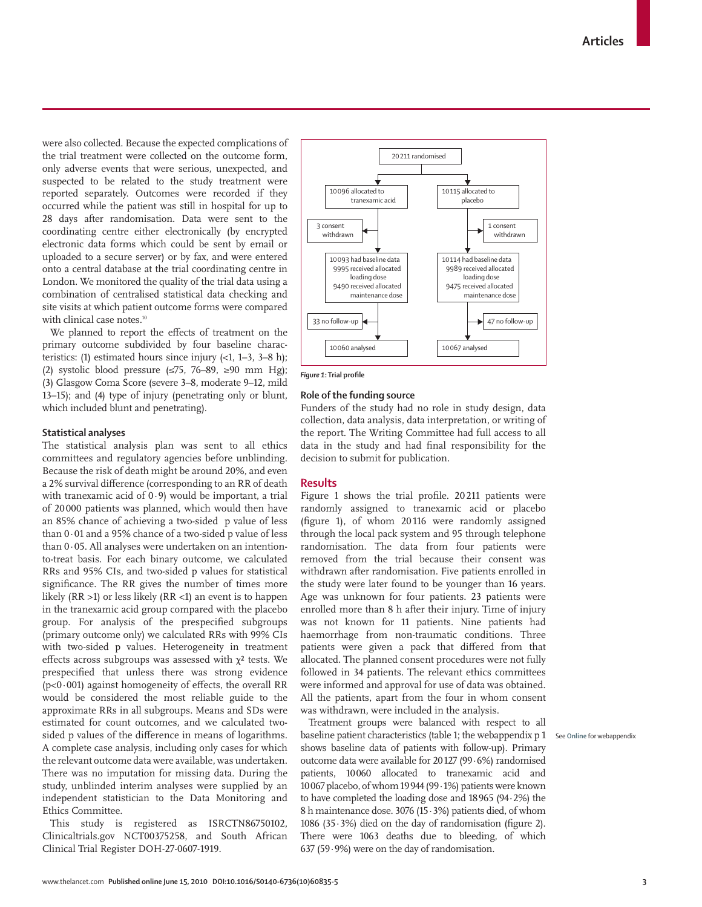were also collected. Because the expected complications of the trial treatment were collected on the outcome form, only adverse events that were serious, unexpected, and suspected to be related to the study treatment were reported separately. Outcomes were recorded if they occurred while the patient was still in hospital for up to 28 days after randomisation. Data were sent to the coordinating centre either electronically (by encrypted electronic data forms which could be sent by email or uploaded to a secure server) or by fax, and were entered onto a central database at the trial coordinating centre in London. We monitored the quality of the trial data using a combination of centralised statistical data checking and site visits at which patient outcome forms were compared with clinical case notes.<sup>10</sup>

We planned to report the effects of treatment on the primary outcome subdivided by four baseline characteristics: (1) estimated hours since injury  $\left($ <1, 1–3, 3–8 h); (2) systolic blood pressure  $(\leq 75, 76-89, \geq 90 \text{ mm Hg})$ ; (3) Glasgow Coma Score (severe 3–8, moderate 9–12, mild 13–15); and (4) type of injury (penetrating only or blunt, which included blunt and penetrating).

### **Statistical analyses**

The statistical analysis plan was sent to all ethics committees and regulatory agencies before unblinding. Because the risk of death might be around 20%, and even a 2% survival difference (corresponding to an RR of death with tranexamic acid of 0·9) would be important, a trial of 20 000 patients was planned, which would then have an 85% chance of achieving a two-sided p value of less than 0·01 and a 95% chance of a two-sided p value of less than 0·05. All analyses were undertaken on an intentionto-treat basis. For each binary outcome, we calculated RRs and 95% CIs, and two-sided p values for statistical significance. The RR gives the number of times more likely (RR >1) or less likely (RR <1) an event is to happen in the tranexamic acid group compared with the placebo group. For analysis of the prespecified subgroups (primary outcome only) we calculated RRs with 99% CIs with two-sided p values. Heterogeneity in treatment effects across subgroups was assessed with  $\chi^2$  tests. We prespecified that unless there was strong evidence ( $p<0.001$ ) against homogeneity of effects, the overall RR would be considered the most reliable guide to the approximate RRs in all subgroups. Means and SDs were estimated for count outcomes, and we calculated twosided p values of the difference in means of logarithms. A complete case analysis, including only cases for which the relevant outcome data were available, was undertaken. There was no imputation for missing data. During the study, unblinded interim analyses were supplied by an independent statistician to the Data Monitoring and Ethics Committee.

This study is registered as ISRCTN86750102, Clinicaltrials.gov NCT00375258, and South African Clinical Trial Register DOH-27-0607-1919.



**Figure 1: Trial profile** 

### **Role of the funding source**

Funders of the study had no role in study design, data collection, data analysis, data interpretation, or writing of the report. The Writing Committee had full access to all data in the study and had final responsibility for the decision to submit for publication.

#### **Results**

Figure 1 shows the trial profile.  $20\,211$  patients were randomly assigned to tranexamic acid or placebo (figure 1), of whom  $20116$  were randomly assigned through the local pack system and 95 through telephone randomisation. The data from four patients were removed from the trial because their consent was withdrawn after randomisation. Five patients enrolled in the study were later found to be younger than 16 years. Age was unknown for four patients. 23 patients were enrolled more than 8 h after their injury. Time of injury was not known for 11 patients. Nine patients had haemorrhage from non-traumatic conditions. Three patients were given a pack that differed from that allocated. The planned consent procedures were not fully followed in 34 patients. The relevant ethics committees were informed and approval for use of data was obtained. All the patients, apart from the four in whom consent was withdrawn, were included in the analysis.

Treatment groups were balanced with respect to all baseline patient characteristics (table 1; the webappendix p 1 See **Online** for webappendixshows baseline data of patients with follow-up). Primary outcome data were available for 20 127 (99·6%) randomised patients, 10 060 allocated to tranexamic acid and 10 067 placebo, of whom 19 944 (99·1%) patients were known to have completed the loading dose and 18 965 (94·2%) the 8 h maintenance dose. 3076 (15·3%) patients died, of whom 1086 (35 $\cdot$ 3%) died on the day of randomisation (figure 2). There were 1063 deaths due to bleeding, of which 637 (59·9%) were on the day of randomisation.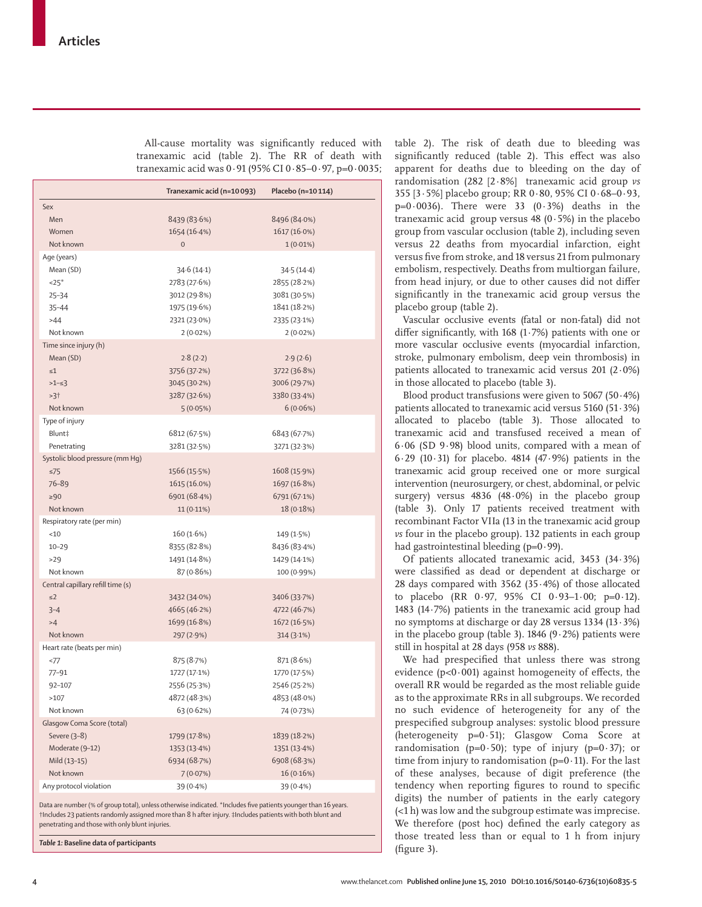All-cause mortality was significantly reduced with tranexamic acid (table 2). The RR of death with tranexamic acid was 0·91 (95% CI 0·85–0·97, p=0·0035;

|                                   | Tranexamic acid (n=10093) | Placebo (n=10 114) |
|-----------------------------------|---------------------------|--------------------|
| Sex                               |                           |                    |
| Men                               | 8439 (83.6%)              | 8496 (84.0%)       |
| Women                             | 1654(16.4%)               | 1617 (16.0%)       |
| Not known                         | $\overline{0}$            | $1(0.01\%)$        |
| Age (years)                       |                           |                    |
| Mean (SD)                         | 34.6(14.1)                | 34.5(14.4)         |
| $25*$                             | 2783 (27.6%)              | 2855 (28.2%)       |
| $25 - 34$                         | 3012 (29.8%)              | 3081 (30.5%)       |
| $35 - 44$                         | 1975 (19.6%)              | 1841 (18.2%)       |
| >44                               | 2321 (23.0%)              | 2335 (23.1%)       |
| Not known                         | 2(0.02%)                  | 2(0.02%)           |
| Time since injury (h)             |                           |                    |
| Mean (SD)                         | 2.8(2.2)                  | 2.9(2.6)           |
| $\leq 1$                          | 3756 (37.2%)              | 3722 (36.8%)       |
| $>1-53$                           | 3045 (30.2%)              | 3006 (29.7%)       |
| $>3^{+}$                          | 3287 (32.6%)              | 3380 (33.4%)       |
| Not known                         | 5(0.05%)                  | 6(0.06%)           |
| Type of injury                    |                           |                    |
| Blunt‡                            | 6812 (67.5%)              | 6843 (67.7%)       |
| Penetrating                       | 3281 (32.5%)              | 3271 (32.3%)       |
| Systolic blood pressure (mm Hq)   |                           |                    |
| $\leq$ 75                         | 1566 (15.5%)              | 1608 (15.9%)       |
| $76 - 89$                         | 1615 (16.0%)              | 1697 (16.8%)       |
| $\geq 90$                         | 6901 (68.4%)              | 6791 (67.1%)       |
| Not known                         | $11(0.11\%)$              | 18 (0.18%)         |
| Respiratory rate (per min)        |                           |                    |
| <10                               | 160 (1.6%)                | 149 (1.5%)         |
| $10 - 29$                         | 8355 (82.8%)              | 8436 (83.4%)       |
| >29                               | 1491 (14.8%)              | 1429 (14.1%)       |
| Not known                         | 87 (0.86%)                | 100 (0.99%)        |
| Central capillary refill time (s) |                           |                    |
| $\leq$ 2                          | 3432 (34.0%)              | 3406 (33.7%)       |
| $3 - 4$                           | 4665 (46.2%)              | 4722 (46.7%)       |
| >4                                | 1699 (16.8%)              | 1672 (16.5%)       |
| Not known                         | 297 (2.9%)                | 314(3.1%)          |
| Heart rate (beats per min)        |                           |                    |
| <77                               | 875 (8.7%)                | 871(8.6%)          |
| $77 - 91$                         | 1727 (17.1%)              | 1770 (17.5%)       |
| 92-107                            | 2556 (25.3%)              | 2546 (25.2%)       |
| >107                              | 4872 (48.3%)              | 4853 (48.0%)       |
| Not known                         | 63 (0.62%)                | 74 (0.73%)         |
| Glasgow Coma Score (total)        |                           |                    |
| Severe $(3-8)$                    | 1799 (17.8%)              | 1839 (18.2%)       |
| Moderate (9-12)                   | 1353 (13.4%)              | 1351 (13.4%)       |
| Mild (13-15)                      | 6934 (68.7%)              | 6908 (68.3%)       |
| Not known                         | 7(0.07%)                  | 16(0.16%)          |
| Any protocol violation            |                           |                    |
|                                   | 39 (0.4%)                 | 39 (0.4%)          |

Data are number (% of group total), unless otherwise indicated. \*Includes five patients younger than 16 years. †Includes 23 patients randomly assigned more than 8 h after injury. ‡Includes patients with both blunt and penetrating and those with only blunt injuries.

*Table 1:* **Baseline data of participants**

table 2). The risk of death due to bleeding was significantly reduced (table 2). This effect was also apparent for deaths due to bleeding on the day of randomisation (282 [2·8%] tranexamic acid group *vs* 355 [3·5%] placebo group; RR 0·80, 95% CI 0·68–0·93,  $p=0.0036$ ). There were 33  $(0.3%)$  deaths in the tranexamic acid group versus 48 (0·5%) in the placebo group from vascular occlusion (table 2), including seven versus 22 deaths from myocardial infarction, eight versus five from stroke, and 18 versus 21 from pulmonary embolism, respectively. Deaths from multiorgan failure, from head injury, or due to other causes did not differ significantly in the tranexamic acid group versus the placebo group (table 2).

Vascular occlusive events (fatal or non-fatal) did not differ significantly, with 168 (1.7%) patients with one or more vascular occlusive events (myocardial infarction, stroke, pulmonary embolism, deep vein thrombosis) in patients allocated to tranexamic acid versus 201 (2·0%) in those allocated to placebo (table 3).

Blood product transfusions were given to 5067 (50 $-4\%$ ) patients allocated to tranexamic acid versus 5160 (51·3%) allocated to placebo (table 3). Those allocated to tranexamic acid and transfused received a mean of 6·06 (SD 9·98) blood units, compared with a mean of 6·29 (10·31) for placebo. 4814 (47·9%) patients in the tranexamic acid group received one or more surgical intervention (neurosurgery, or chest, abdominal, or pelvic surgery) versus 4836 (48·0%) in the placebo group (table 3). Only 17 patients received treatment with recombinant Factor VIIa (13 in the tranexamic acid group *vs* four in the placebo group). 132 patients in each group had gastrointestinal bleeding ( $p=0.99$ ).

Of patients allocated tranexamic acid, 3453 (34·3%) were classified as dead or dependent at discharge or 28 days compared with 3562 (35·4%) of those allocated to placebo (RR 0·97, 95% CI 0·93–1·00; p=0·12). 1483 (14·7%) patients in the tranexamic acid group had no symptoms at discharge or day 28 versus 1334 (13·3%) in the placebo group (table 3).  $1846$  (9 $\cdot$ 2%) patients were still in hospital at 28 days (958 *vs* 888).

We had prespecified that unless there was strong evidence (p<0 $\cdot$ 001) against homogeneity of effects, the overall RR would be regarded as the most reliable guide as to the approximate RRs in all subgroups. We recorded no such evidence of heterogeneity for any of the prespecified subgroup analyses: systolic blood pressure (heterogeneity p=0·51); Glasgow Coma Score at randomisation (p= $0.50$ ); type of injury (p= $0.37$ ); or time from injury to randomisation ( $p=0.11$ ). For the last of these analyses, because of digit preference (the tendency when reporting figures to round to specific digits) the number of patients in the early category (<1 h) was low and the subgroup estimate was imprecise. We therefore (post hoc) defined the early category as those treated less than or equal to 1 h from injury  $(figure 3)$ .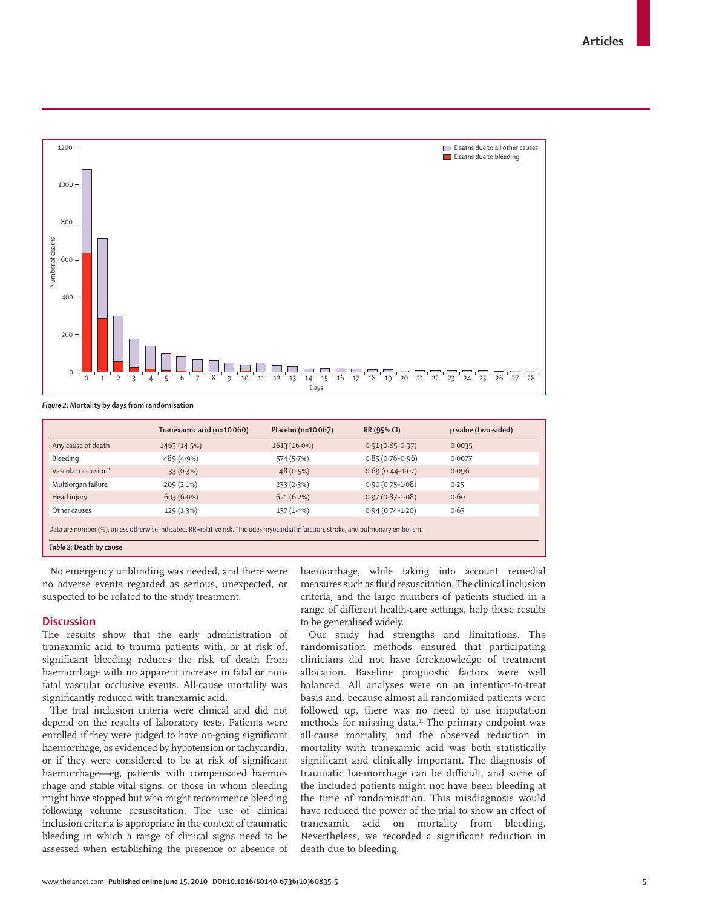

*Figure 2***: Mortality by days from randomisation**

|                                                                                                                                     | Tranexamic acid (n=10060) | Placebo (n=10067) | RR (95% CI)         | p value (two-sided) |  |  |  |
|-------------------------------------------------------------------------------------------------------------------------------------|---------------------------|-------------------|---------------------|---------------------|--|--|--|
| Any cause of death                                                                                                                  | 1463 (14.5%)              | $1613(16.0\%)$    | $0.91(0.85 - 0.97)$ | 0.0035              |  |  |  |
| Bleeding                                                                                                                            | 489 (4.9%)                | 574 (5.7%)        | $0.85(0.76 - 0.96)$ | 0.0077              |  |  |  |
| Vascular occlusion*                                                                                                                 | 33(0.3%)                  | 48(0.5%)          | $0.69(0.44 - 1.07)$ | 0.096               |  |  |  |
| Multiorgan failure                                                                                                                  | $209(2.1\%)$              | 233(2.3%)         | $0.90(0.75 - 1.08)$ | 0.25                |  |  |  |
| Head injury                                                                                                                         | $603(6.0\%)$              | 621(6.2%)         | $0.97(0.87 - 1.08)$ | 0.60                |  |  |  |
| Other causes                                                                                                                        | 129 (1.3%)                | $137(1.4\%)$      | $0.94(0.74 - 1.20)$ | 0.63                |  |  |  |
| Data are number (%), unless otherwise indicated. RR=relative risk. *Includes myocardial infarction, stroke, and pulmonary embolism. |                           |                   |                     |                     |  |  |  |
| Table 2: Death by cause                                                                                                             |                           |                   |                     |                     |  |  |  |

No emergency unblinding was needed, and there were no adverse events regarded as serious, unexpected, or suspected to be related to the study treatment.

#### **Discussion**

The results show that the early administration of tranexamic acid to trauma patients with, or at risk of, significant bleeding reduces the risk of death from haemorrhage with no apparent increase in fatal or nonfatal vascular occlusive events. All-cause mortality was significantly reduced with tranexamic acid.

The trial inclusion criteria were clinical and did not depend on the results of laboratory tests. Patients were enrolled if they were judged to have on-going significant haemorrhage, as evidenced by hypotension or tachycardia, or if they were considered to be at risk of significant haemorrhage—eg, patients with compensated haemorrhage and stable vital signs, or those in whom bleeding might have stopped but who might recommence bleeding following volume resuscitation. The use of clinical inclusion criteria is appropriate in the context of traumatic bleeding in which a range of clinical signs need to be assessed when establishing the presence or absence of haemorrhage, while taking into account remedial measures such as fluid resuscitation. The clinical inclusion criteria, and the large numbers of patients studied in a range of different health-care settings, help these results to be generalised widely.

Our study had strengths and limitations. The randomisation methods ensured that participating clinicians did not have foreknowledge of treatment allocation. Baseline prognostic factors were well balanced. All analyses were on an intention-to-treat basis and, because almost all randomised patients were followed up, there was no need to use imputation methods for missing data.<sup>11</sup> The primary endpoint was all-cause mortality, and the observed reduction in mortality with tranexamic acid was both statistically significant and clinically important. The diagnosis of traumatic haemorrhage can be difficult, and some of the included patients might not have been bleeding at the time of randomisation. This misdiagnosis would have reduced the power of the trial to show an effect of tranexamic acid on mortality from bleeding. Nevertheless, we recorded a significant reduction in death due to bleeding.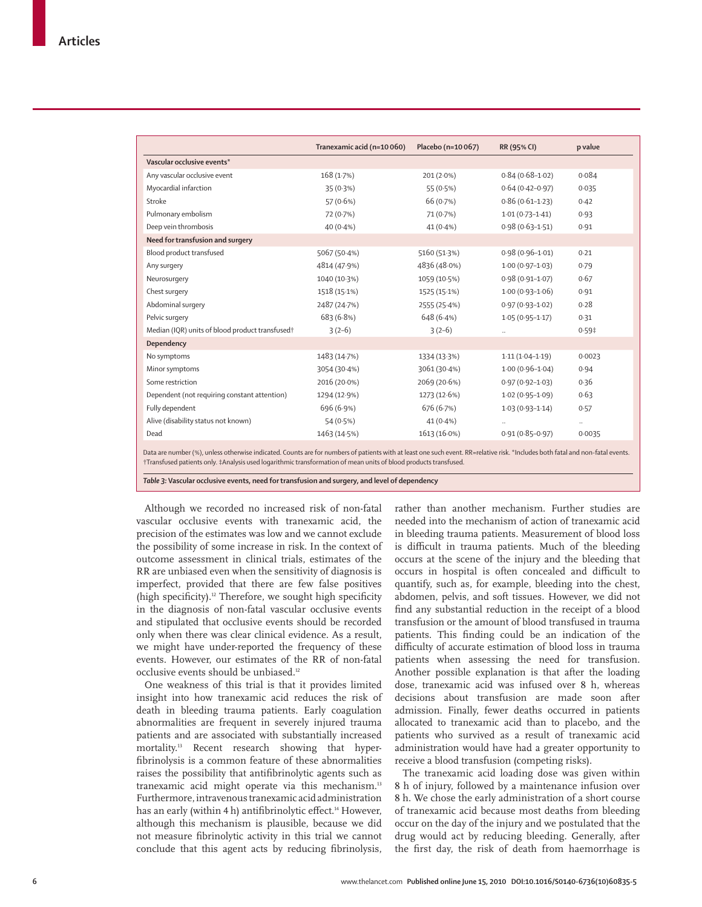|                                                             | Tranexamic acid (n=10060) | Placebo (n=10067) | RR (95% CI)         | p value           |
|-------------------------------------------------------------|---------------------------|-------------------|---------------------|-------------------|
| Vascular occlusive events*                                  |                           |                   |                     |                   |
| Any vascular occlusive event                                | 168(1.7%)                 | $201(2.0\%)$      | $0.84(0.68 - 1.02)$ | 0.084             |
| Myocardial infarction                                       | 35(0.3%)                  | 55(0.5%)          | $0.64(0.42 - 0.97)$ | 0.035             |
| Stroke                                                      | 57 (0.6%)                 | 66 (0.7%)         | $0.86(0.61 - 1.23)$ | 0.42              |
| Pulmonary embolism                                          | 72 (0.7%)                 | 71(0.7%)          | $1.01(0.73 - 1.41)$ | 0.93              |
| Deep vein thrombosis                                        | 40 $(0.4\%)$              | $41(0.4\%)$       | $0.98(0.63 - 1.51)$ | 0.91              |
| Need for transfusion and surgery                            |                           |                   |                     |                   |
| Blood product transfused                                    | 5067 (50.4%)              | 5160 (51.3%)      | $0.98(0.96 - 1.01)$ | 0.21              |
| Any surgery                                                 | 4814 (47.9%)              | 4836 (48.0%)      | $1.00(0.97-1.03)$   | 0.79              |
| Neurosurgery                                                | 1040 (10.3%)              | 1059 (10.5%)      | $0.98(0.91 - 1.07)$ | 0.67              |
| Chest surgery                                               | 1518 (15.1%)              | 1525 (15.1%)      | $1.00(0.93-1.06)$   | 0.91              |
| Abdominal surgery                                           | 2487 (24.7%)              | 2555 (25-4%)      | $0.97(0.93 - 1.02)$ | 0.28              |
| Pelvic surgery                                              | 683 (6.8%)                | 648 (6.4%)        | $1.05(0.95 - 1.17)$ | 0.31              |
| Median (IQR) units of blood product transfused <sup>+</sup> | $3(2-6)$                  | $3(2-6)$          | $\ddotsc$           | 0.59 <sup>‡</sup> |
| Dependency                                                  |                           |                   |                     |                   |
| No symptoms                                                 | 1483 (14.7%)              | 1334 (13.3%)      | $1.11(1.04-1.19)$   | 0.0023            |
| Minor symptoms                                              | 3054 (30.4%)              | 3061 (30.4%)      | $1.00(0.96 - 1.04)$ | 0.94              |
| Some restriction                                            | 2016 (20.0%)              | 2069 (20.6%)      | $0.97(0.92 - 1.03)$ | 0.36              |
| Dependent (not requiring constant attention)                | 1294 (12.9%)              | 1273 (12.6%)      | $1.02(0.95 - 1.09)$ | 0.63              |
| Fully dependent                                             | 696 (6.9%)                | 676 (6.7%)        | $1.03(0.93 - 1.14)$ | 0.57              |
| Alive (disability status not known)                         | 54 (0.5%)                 | $41(0.4\%)$       | $\ddotsc$           | $\ldots$          |
| Dead                                                        | 1463 (14.5%)              | 1613 (16.0%)      | $0.91(0.85 - 0.97)$ | 0.0035            |

Data are number (%), unless otherwise indicated. Counts are for numbers of patients with at least one such event. RR=relative risk. \*Includes both fatal and non-fatal events. †Transfused patients only. ‡Analysis used logarithmic transformation of mean units of blood products transfused.

*Table 3:* **Vascular occlusive events, need for transfusion and surgery, and level of dependency**

Although we recorded no increased risk of non-fatal vascular occlusive events with tranexamic acid, the precision of the estimates was low and we cannot exclude the possibility of some increase in risk. In the context of outcome assessment in clinical trials, estimates of the RR are unbiased even when the sensitivity of diagnosis is imperfect, provided that there are few false positives (high specificity).<sup>12</sup> Therefore, we sought high specificity in the diagnosis of non-fatal vascular occlusive events and stipulated that occlusive events should be recorded only when there was clear clinical evidence. As a result, we might have under-reported the frequency of these events. However, our estimates of the RR of non-fatal occlusive events should be unbiased.<sup>12</sup>

One weakness of this trial is that it provides limited insight into how tranexamic acid reduces the risk of death in bleeding trauma patients. Early coagulation abnormalities are frequent in severely injured trauma patients and are associated with substantially increased mortality.13 Recent research showing that hyperfibrinolysis is a common feature of these abnormalities raises the possibility that antifibrinolytic agents such as tranexamic acid might operate via this mechanism.<sup>13</sup> Furthermore, intravenous tranexamic acid administration has an early (within 4 h) antifibrinolytic effect.<sup>14</sup> However, although this mechanism is plausible, because we did not measure fibrinolytic activity in this trial we cannot conclude that this agent acts by reducing fibrinolysis,

rather than another mechanism. Further studies are needed into the mechanism of action of tranexamic acid in bleeding trauma patients. Measurement of blood loss is difficult in trauma patients. Much of the bleeding occurs at the scene of the injury and the bleeding that occurs in hospital is often concealed and difficult to quantify, such as, for example, bleeding into the chest, abdomen, pelvis, and soft tissues. However, we did not find any substantial reduction in the receipt of a blood transfusion or the amount of blood transfused in trauma patients. This finding could be an indication of the difficulty of accurate estimation of blood loss in trauma patients when assessing the need for transfusion. Another possible explanation is that after the loading dose, tranexamic acid was infused over 8 h, whereas decisions about transfusion are made soon after admission. Finally, fewer deaths occurred in patients allocated to tranexamic acid than to placebo, and the patients who survived as a result of tranexamic acid administration would have had a greater opportunity to receive a blood transfusion (competing risks).

The tranexamic acid loading dose was given within 8 h of injury, followed by a maintenance infusion over 8 h. We chose the early administration of a short course of tranexamic acid because most deaths from bleeding occur on the day of the injury and we postulated that the drug would act by reducing bleeding. Generally, after the first day, the risk of death from haemorrhage is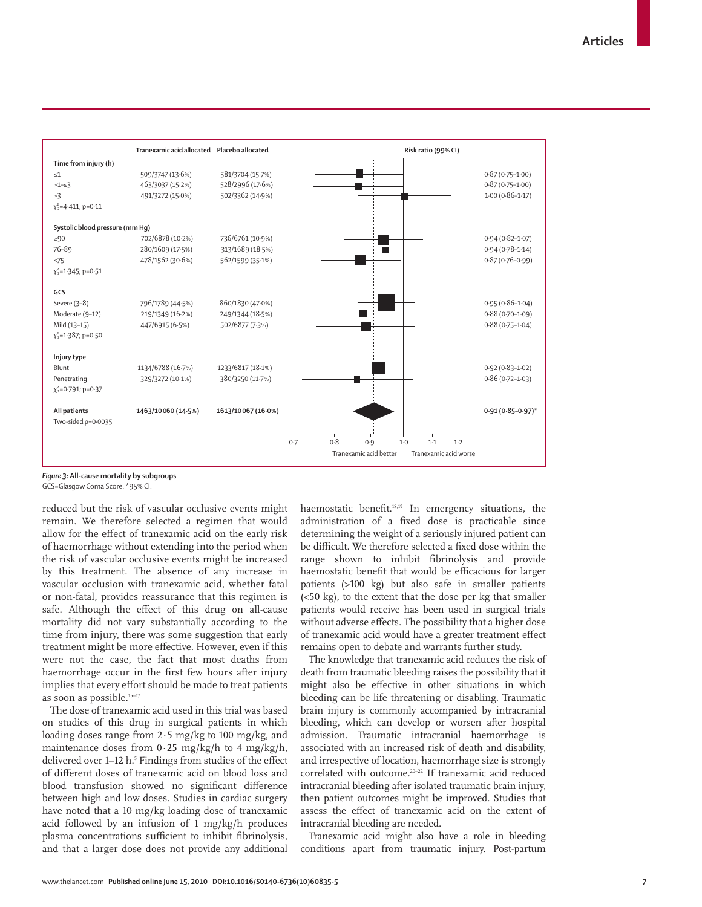

*Figure 3***: All-cause mortality by subgroups**

GCS=Glasgow Coma Score. \*95% CI.

reduced but the risk of vascular occlusive events might remain. We therefore selected a regimen that would allow for the effect of tranexamic acid on the early risk of haemorrhage without extending into the period when the risk of vascular occlusive events might be increased by this treatment. The absence of any increase in vascular occlusion with tranexamic acid, whether fatal or non-fatal, provides reassurance that this regimen is safe. Although the effect of this drug on all-cause mortality did not vary substantially according to the time from injury, there was some suggestion that early treatment might be more effective. However, even if this were not the case, the fact that most deaths from haemorrhage occur in the first few hours after injury implies that every effort should be made to treat patients as soon as possible.15–17

The dose of tranexamic acid used in this trial was based on studies of this drug in surgical patients in which loading doses range from 2·5 mg/kg to 100 mg/kg, and maintenance doses from  $0.25$  mg/kg/h to 4 mg/kg/h, delivered over 1–12 h.<sup>5</sup> Findings from studies of the effect of different doses of tranexamic acid on blood loss and blood transfusion showed no significant difference between high and low doses. Studies in cardiac surgery have noted that a 10 mg/kg loading dose of tranexamic acid followed by an infusion of 1 mg/kg/h produces plasma concentrations sufficient to inhibit fibrinolysis, and that a larger dose does not provide any additional

haemostatic benefit.<sup>18,19</sup> In emergency situations, the administration of a fixed dose is practicable since determining the weight of a seriously injured patient can be difficult. We therefore selected a fixed dose within the range shown to inhibit fibrinolysis and provide haemostatic benefit that would be efficacious for larger patients (>100 kg) but also safe in smaller patients (<50 kg), to the extent that the dose per kg that smaller patients would receive has been used in surgical trials without adverse effects. The possibility that a higher dose of tranexamic acid would have a greater treatment effect remains open to debate and warrants further study.

The knowledge that tranexamic acid reduces the risk of death from traumatic bleeding raises the possibility that it might also be effective in other situations in which bleeding can be life threatening or disabling. Traumatic brain injury is commonly accompanied by intracranial bleeding, which can develop or worsen after hospital admission. Traumatic intracranial haemorrhage is associated with an increased risk of death and disability, and irrespective of location, haemorrhage size is strongly correlated with outcome.20–22 If tranexamic acid reduced intracranial bleeding after isolated traumatic brain injury, then patient outcomes might be improved. Studies that assess the effect of tranexamic acid on the extent of intracranial bleeding are needed.

Tranexamic acid might also have a role in bleeding conditions apart from traumatic injury. Post-partum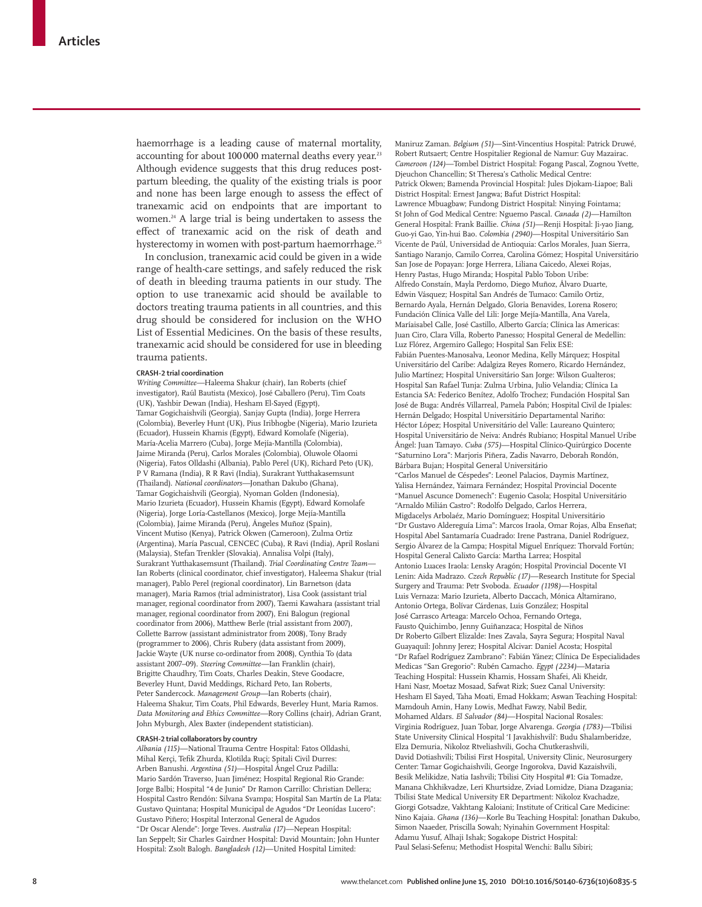haemorrhage is a leading cause of maternal mortality, accounting for about 100 000 maternal deaths every year.<sup>23</sup> Although evidence suggests that this drug reduces postpartum bleeding, the quality of the existing trials is poor and none has been large enough to assess the effect of tranexamic acid on endpoints that are important to women.<sup>24</sup> A large trial is being undertaken to assess the effect of tranexamic acid on the risk of death and hysterectomy in women with post-partum haemorrhage.<sup>25</sup>

In conclusion, tranexamic acid could be given in a wide range of health-care settings, and safely reduced the risk of death in bleeding trauma patients in our study. The option to use tranexamic acid should be available to doctors treating trauma patients in all countries, and this drug should be considered for inclusion on the WHO List of Essential Medicines. On the basis of these results, tranexamic acid should be considered for use in bleeding trauma patients.

#### **CRASH-2 trial coordination**

*Writing Committee—*Haleema Shakur (chair), Ian Roberts (chief investigator), Raúl Bautista (Mexico), José Caballero (Peru), Tim Coats (UK), Yashbir Dewan (India), Hesham El-Sayed (Egypt), Tamar Gogichaishvili (Georgia), Sanjay Gupta (India), Jorge Herrera (Colombia), Beverley Hunt (UK), Pius Iribhogbe (Nigeria), Mario Izurieta (Ecuador), Hussein Khamis (Egypt), Edward Komolafe (Nigeria), María-Acelia Marrero (Cuba), Jorge Mejía-Mantilla (Colombia), Jaime Miranda (Peru), Carlos Morales (Colombia), Oluwole Olaomi (Nigeria), Fatos Olldashi (Albania), Pablo Perel (UK), Richard Peto (UK), P V Ramana (India), R R Ravi (India), Surakrant Yutthakasemsunt (Thailand). *National coordinators—*Jonathan Dakubo (Ghana), Tamar Gogichaishvili (Georgia), Nyoman Golden (Indonesia), Mario Izurieta (Ecuador), Hussein Khamis (Egypt), Edward Komolafe (Nigeria), Jorge Loría-Castellanos (Mexico), Jorge Mejía-Mantilla (Colombia), Jaime Miranda (Peru), Ángeles Muñoz (Spain), Vincent Mutiso (Kenya), Patrick Okwen (Cameroon), Zulma Ortiz (Argentina), María Pascual, CENCEC (Cuba), R Ravi (India), April Roslani (Malaysia), Stefan Trenkler (Slovakia), Annalisa Volpi (Italy), Surakrant Yutthakasemsunt (Thailand). *Trial Coordinating Centre Team—* Ian Roberts (clinical coordinator, chief investigator), Haleema Shakur (trial manager), Pablo Perel (regional coordinator), Lin Barnetson (data manager), Maria Ramos (trial administrator), Lisa Cook (assistant trial manager, regional coordinator from 2007), Taemi Kawahara (assistant trial manager, regional coordinator from 2007), Eni Balogun (regional coordinator from 2006), Matthew Berle (trial assistant from 2007), Collette Barrow (assistant administrator from 2008), Tony Brady (programmer to 2006), Chris Rubery (data assistant from 2009), Jackie Wayte (UK nurse co-ordinator from 2008), Cynthia To (data assistant 2007–09). *Steering Committee—*Ian Franklin (chair), Brigitte Chaudhry, Tim Coats, Charles Deakin, Steve Goodacre, Beverley Hunt, David Meddings, Richard Peto, Ian Roberts, Peter Sandercock. *Management Group—*Ian Roberts (chair), Haleema Shakur, Tim Coats, Phil Edwards, Beverley Hunt, Maria Ramos. *Data Monitoring and Ethics Committee—*Rory Collins (chair), Adrian Grant, John Myburgh, Alex Baxter (independent statistician).

#### **CRASH-2 trial collaborators by country**

*Albania (115)*—National Trauma Centre Hospital: Fatos Olldashi, Mihal Kerçi, Tefik Zhurda, Klotilda Ruçi; Spitali Civil Durres: Arben Banushi. *Argentina (51)*—Hospital Ángel Cruz Padilla: Mario Sardón Traverso, Juan Jiménez; Hospital Regional Rio Grande: Jorge Balbi; Hospital "4 de Junio" Dr Ramon Carrillo: Christian Dellera; Hospital Castro Rendón: Silvana Svampa; Hospital San Martín de La Plata: Gustavo Quintana; Hospital Municipal de Agudos "Dr Leonídas Lucero": Gustavo Piñero; Hospital Interzonal General de Agudos "Dr Oscar Alende": Jorge Teves. *Australia (17)*—Nepean Hospital: Ian Seppelt; Sir Charles Gairdner Hospital: David Mountain; John Hunter Hospital: Zsolt Balogh. *Bangladesh (12)*—United Hospital Limited:

Maniruz Zaman. *Belgium (51)*—Sint-Vincentius Hospital: Patrick Druwé, Robert Rutsaert; Centre Hospitalier Regional de Namur: Guy Mazairac. *Cameroon (124)*—Tombel District Hospital: Fogang Pascal, Zognou Yvette, Djeuchon Chancellin; St Theresa's Catholic Medical Centre: Patrick Okwen; Bamenda Provincial Hospital: Jules Djokam-Liapoe; Bali District Hospital: Ernest Jangwa; Bafut District Hospital: Lawrence Mbuagbaw; Fundong District Hospital: Ninying Fointama; St John of God Medical Centre: Nguemo Pascal. *Canada (2)*—Hamilton General Hospital: Frank Baillie. *China (51)*—Renji Hospital: Ji-yao Jiang, Guo-yi Gao, Yin-hui Bao. *Colombia (2940)*—Hospital Universitário San Vicente de Paúl, Universidad de Antioquia: Carlos Morales, Juan Sierra, Santiago Naranjo, Camilo Correa, Carolina Gómez; Hospital Universitário San Jose de Popayan: Jorge Herrera, Liliana Caicedo, Alexei Rojas, Henry Pastas, Hugo Miranda; Hospital Pablo Tobon Uribe: Alfredo Constaín, Mayla Perdomo, Diego Muñoz, Álvaro Duarte, Edwin Vásquez; Hospital San Andrés de Tumaco: Camilo Ortiz, Bernardo Ayala, Hernán Delgado, Gloria Benavides, Lorena Rosero; Fundación Clínica Valle del Lili: Jorge Mejía-Mantilla, Ana Varela, Maríaisabel Calle, José Castillo, Alberto García; Clínica las Americas: Juan Ciro, Clara Villa, Roberto Panesso; Hospital General de Medellin: Luz Flórez, Argemiro Gallego; Hospital San Felix ESE: Fabián Puentes-Manosalva, Leonor Medina, Kelly Márquez; Hospital Universitário del Caribe: Adalgiza Reyes Romero, Ricardo Hernández, Julio Martínez; Hospital Universitário San Jorge: Wilson Gualteros; Hospital San Rafael Tunja: Zulma Urbina, Julio Velandia; Clínica La Estancia SA: Federico Benítez, Adolfo Trochez; Fundación Hospital San José de Buga: Andrés Villarreal, Pamela Pabón; Hospital Civil de Ipiales: Hernán Delgado; Hospital Universitário Departamental Nariño: Héctor López; Hospital Universitário del Valle: Laureano Quintero; Hospital Universitário de Neiva: Andrés Rubiano; Hospital Manuel Uribe Ángel: Juan Tamayo. *Cuba (575)*—Hospital Clínico-Quirúrgico Docente "Saturnino Lora": Marjoris Piñera, Zadis Navarro, Deborah Rondón, Bárbara Bujan; Hospital General Universitário "Carlos Manuel de Céspedes": Leonel Palacios, Daymis Martínez, Yalisa Hernández, Yaimara Fernández; Hospital Provincial Docente "Manuel Ascunce Domenech": Eugenio Casola; Hospital Universitário "Arnaldo Milián Castro": Rodolfo Delgado, Carlos Herrera, Migdacelys Arbolaéz, Mario Domínguez; Hospital Universitário "Dr Gustavo Aldereguía Lima": Marcos Iraola, Omar Rojas, Alba Enseñat; Hospital Abel Santamaría Cuadrado: Irene Pastrana, Daniel Rodríguez, Sergio Álvarez de la Campa; Hospital Miguel Enríquez: Thorvald Fortún; Hospital General Calixto García: Martha Larrea; Hospital Antonio Luaces Iraola: Lensky Aragón; Hospital Provincial Docente VI Lenin: Aida Madrazo. *Czech Republic (17)*—Research Institute for Special Surgery and Trauma: Petr Svoboda. *Ecuador (1198)*—Hospital Luis Vernaza: Mario Izurieta, Alberto Daccach, Mónica Altamirano, Antonio Ortega, Bolívar Cárdenas, Luis González; Hospital José Carrasco Arteaga: Marcelo Ochoa, Fernando Ortega, Fausto Quichimbo, Jenny Guiñanzaca; Hospital de Niños Dr Roberto Gilbert Elizalde: Ines Zavala, Sayra Segura; Hospital Naval Guayaquil: Johnny Jerez; Hospital Alcivar: Daniel Acosta; Hospital "Dr Rafael Rodríguez Zambrano": Fabián Yánez; Clínica De Especialidades Medicas "San Gregorio": Rubén Camacho. *Egypt (2234)*—Mataria Teaching Hospital: Hussein Khamis, Hossam Shafei, Ali Kheidr, Hani Nasr, Moetaz Mosaad, Safwat Rizk; Suez Canal University: Hesham El Sayed, Taha Moati, Emad Hokkam; Aswan Teaching Hospital: Mamdouh Amin, Hany Lowis, Medhat Fawzy, Nabil Bedir, Mohamed Aldars. *El Salvador (84)*—Hospital Nacional Rosales: Virginia Rodríguez, Juan Tobar, Jorge Alvarenga. *Georgia (1783)*—Tbilisi State University Clinical Hospital 'I Javakhishvili': Budu Shalamberidze, Elza Demuria, Nikoloz Rtveliashvili, Gocha Chutkerashvili, David Dotiashvili; Tbilisi First Hospital, University Clinic, Neurosurgery Center: Tamar Gogichaishvili, George Ingorokva, David Kazaishvili, Besik Melikidze, Natia Iashvili; Tbilisi City Hospital #1: Gia Tomadze, Manana Chkhikvadze, Leri Khurtsidze, Zviad Lomidze, Diana Dzagania; Tbilisi State Medical University ER Department: Nikoloz Kvachadze, Giorgi Gotsadze, Vakhtang Kaloiani; Institute of Critical Care Medicine: Nino Kajaia. *Ghana (136)*—Korle Bu Teaching Hospital: Jonathan Dakubo, Simon Naaeder, Priscilla Sowah; Nyinahin Government Hospital: Adamu Yusuf, Alhaji Ishak; Sogakope District Hospital: Paul Selasi-Sefenu; Methodist Hospital Wenchi: Ballu Sibiri;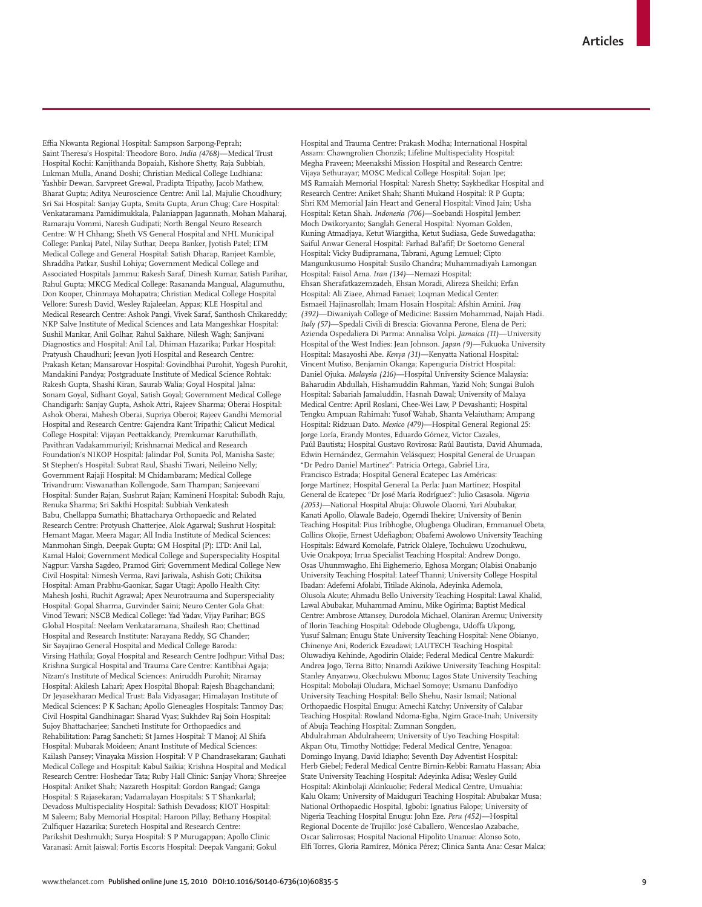Effia Nkwanta Regional Hospital: Sampson Sarpong-Peprah; Saint Theresa's Hospital: Theodore Boro. *India (4768)*—Medical Trust Hospital Kochi: Kanjithanda Bopaiah, Kishore Shetty, Raja Subbiah, Lukman Mulla, Anand Doshi; Christian Medical College Ludhiana: Yashbir Dewan, Sarvpreet Grewal, Pradipta Tripathy, Jacob Mathew, Bharat Gupta; Aditya Neuroscience Centre: Anil Lal, Majulie Choudhury; Sri Sai Hospital: Sanjay Gupta, Smita Gupta, Arun Chug; Care Hospital: Venkataramana Pamidimukkala, Palaniappan Jagannath, Mohan Maharaj, Ramaraju Vommi, Naresh Gudipati; North Bengal Neuro Research Centre: W H Chhang; Sheth VS General Hospital and NHL Municipal College: Pankaj Patel, Nilay Suthar, Deepa Banker, Jyotish Patel; LTM Medical College and General Hospital: Satish Dharap, Ranjeet Kamble, Shraddha Patkar, Sushil Lohiya; Government Medical College and Associated Hospitals Jammu: Rakesh Saraf, Dinesh Kumar, Satish Parihar, Rahul Gupta; MKCG Medical College: Rasananda Mangual, Alagumuthu, Don Kooper, Chinmaya Mohapatra; Christian Medical College Hospital Vellore: Suresh David, Wesley Rajaleelan, Appas; KLE Hospital and Medical Research Centre: Ashok Pangi, Vivek Saraf, Santhosh Chikareddy; NKP Salve Institute of Medical Sciences and Lata Mangeshkar Hospital: Sushil Mankar, Anil Golhar, Rahul Sakhare, Nilesh Wagh; Sanjivani Diagnostics and Hospital: Anil Lal, Dhiman Hazarika; Parkar Hospital: Pratyush Chaudhuri; Jeevan Jyoti Hospital and Research Centre: Prakash Ketan; Mansarovar Hospital: Govindbhai Purohit, Yogesh Purohit, Mandakini Pandya; Postgraduate Institute of Medical Science Rohtak: Rakesh Gupta, Shashi Kiran, Saurab Walia; Goyal Hospital Jalna: Sonam Goyal, Sidhant Goyal, Satish Goyal; Government Medical College Chandigarh: Sanjay Gupta, Ashok Attri, Rajeev Sharma; Oberai Hospital: Ashok Oberai, Mahesh Oberai, Supriya Oberoi; Rajeev Gandhi Memorial Hospital and Research Centre: Gajendra Kant Tripathi; Calicut Medical College Hospital: Vijayan Peettakkandy, Premkumar Karuthillath, Pavithran Vadakammuriyil; Krishnamai Medical and Research Foundation's NIKOP Hospital: Jalindar Pol, Sunita Pol, Manisha Saste; St Stephen's Hospital: Subrat Raul, Shashi Tiwari, Neileino Nelly; Government Rajaji Hospital: M Chidambaram; Medical College Trivandrum: Viswanathan Kollengode, Sam Thampan; Sanjeevani Hospital: Sunder Rajan, Sushrut Rajan; Kamineni Hospital: Subodh Raju, Renuka Sharma; Sri Sakthi Hospital: Subbiah Venkatesh Babu, Chellappa Sumathi; Bhattacharya Orthopaedic and Related Research Centre: Protyush Chatterjee, Alok Agarwal; Sushrut Hospital: Hemant Magar, Meera Magar; All India Institute of Medical Sciences: Manmohan Singh, Deepak Gupta; GM Hospital (P): LTD: Anil Lal, Kamal Haloi; Government Medical College and Superspeciality Hospital Nagpur: Varsha Sagdeo, Pramod Giri; Government Medical College New Civil Hospital: Nimesh Verma, Ravi Jariwala, Ashish Goti; Chikitsa Hospital: Aman Prabhu-Gaonkar, Sagar Utagi; Apollo Health City: Mahesh Joshi, Ruchit Agrawal; Apex Neurotrauma and Superspeciality Hospital: Gopal Sharma, Gurvinder Saini; Neuro Center Gola Ghat: Vinod Tewari; NSCB Medical College: Yad Yadav, Vijay Parihar; BGS Global Hospital: Neelam Venkataramana, Shailesh Rao; Chettinad Hospital and Research Institute: Narayana Reddy, SG Chander; Sir Sayajirao General Hospital and Medical College Baroda: Virsing Hathila; Goyal Hospital and Research Centre Jodhpur: Vithal Das; Krishna Surgical Hospital and Trauma Care Centre: Kantibhai Agaja; Nizam's Institute of Medical Sciences: Aniruddh Purohit; Niramay Hospital: Akilesh Lahari; Apex Hospital Bhopal: Rajesh Bhagchandani; Dr Jeyasekharan Medical Trust: Bala Vidyasagar; Himalayan Institute of Medical Sciences: P K Sachan; Apollo Gleneagles Hospitals: Tanmoy Das; Civil Hospital Gandhinagar: Sharad Vyas; Sukhdev Raj Soin Hospital: Sujoy Bhattacharjee; Sancheti Institute for Orthopaedics and Rehabilitation: Parag Sancheti; St James Hospital: T Manoj; Al Shifa Hospital: Mubarak Moideen; Anant Institute of Medical Sciences: Kailash Pansey; Vinayaka Mission Hospital: V P Chandrasekaran; Gauhati Medical College and Hospital: Kabul Saikia; Krishna Hospital and Medical Research Centre: Hoshedar Tata; Ruby Hall Clinic: Sanjay Vhora; Shreejee Hospital: Aniket Shah; Nazareth Hospital: Gordon Rangad; Ganga Hospital: S Rajasekaran; Vadamalayan Hospitals: S T Shankarlal; Devadoss Multispeciality Hospital: Sathish Devadoss; KIOT Hospital: M Saleem; Baby Memorial Hospital: Haroon Pillay; Bethany Hospital: Zulfiquer Hazarika; Suretech Hospital and Research Centre: Parikshit Deshmukh; Surya Hospital: S P Murugappan; Apollo Clinic Varanasi: Amit Jaiswal; Fortis Escorts Hospital: Deepak Vangani; Gokul

Hospital and Trauma Centre: Prakash Modha; International Hospital Assam: Chawngrolien Chonzik; Lifeline Multispeciality Hospital: Megha Praveen; Meenakshi Mission Hospital and Research Centre: Vijaya Sethurayar; MOSC Medical College Hospital: Sojan Ipe; MS Ramaiah Memorial Hospital: Naresh Shetty; Saykhedkar Hospital and Research Centre: Aniket Shah; Shanti Mukand Hospital: R P Gupta; Shri KM Memorial Jain Heart and General Hospital: Vinod Jain; Usha Hospital: Ketan Shah. *Indonesia (706)*—Soebandi Hospital Jember: Moch Dwikoryanto; Sanglah General Hospital: Nyoman Golden, Kuning Atmadjaya, Ketut Wiargitha, Ketut Sudiasa, Gede Suwedagatha; Saiful Anwar General Hospital: Farhad Bal'afif; Dr Soetomo General Hospital: Vicky Budipramana, Tabrani, Agung Lemuel; Cipto Mangunkusumo Hospital: Susilo Chandra; Muhammadiyah Lamongan Hospital: Faisol Ama. *Iran (134)*—Nemazi Hospital: Ehsan Sherafatkazemzadeh, Ehsan Moradi, Alireza Sheikhi; Erfan Hospital: Ali Ziaee, Ahmad Fanaei; Loqman Medical Center: Esmaeil Hajinasrollah; Imam Hosain Hospital: Afshin Amini. *Iraq (392)*—Diwaniyah College of Medicine: Bassim Mohammad, Najah Hadi. *Italy (57)*—Spedali Civili di Brescia: Giovanna Perone, Elena de Peri; Azienda Ospedaliera Di Parma: Annalisa Volpi. *Jamaica (11)*—University Hospital of the West Indies: Jean Johnson. *Japan (9)*—Fukuoka University Hospital: Masayoshi Abe. *Kenya (31)*—Kenyatta National Hospital: Vincent Mutiso, Benjamin Okanga; Kapenguria District Hospital: Daniel Ojuka. *Malaysia (216)*—Hospital University Science Malaysia: Baharudin Abdullah, Hishamuddin Rahman, Yazid Noh; Sungai Buloh Hospital: Sabariah Jamaluddin, Hasnah Dawal; University of Malaya Medical Centre: April Roslani, Chee-Wei Law, P Devashanti; Hospital Tengku Ampuan Rahimah: Yusof Wahab, Shanta Velaiutham; Ampang Hospital: Ridzuan Dato. *Mexico (479)*—Hospital General Regional 25: Jorge Loría, Erandy Montes, Eduardo Gómez, Víctor Cazales, Paúl Bautista; Hospital Gustavo Rovirosa: Raúl Bautista, David Ahumada, Edwin Hernández, Germahin Velásquez; Hospital General de Uruapan "Dr Pedro Daniel Martínez": Patricia Ortega, Gabriel Lira, Francisco Estrada; Hospital General Ecatepec Las Américas: Jorge Martínez; Hospital General La Perla: Juan Martínez; Hospital General de Ecatepec "Dr José María Rodríguez": Julio Casasola. *Nigeria (2053)*—National Hospital Abuja: Oluwole Olaomi, Yari Abubakar, Kanati Apollo, Olawale Badejo, Ogemdi Ihekire; University of Benin Teaching Hospital: Pius Iribhogbe, Olugbenga Oludiran, Emmanuel Obeta, Collins Okojie, Ernest Udefiagbon; Obafemi Awolowo University Teaching Hospitals: Edward Komolafe, Patrick Olaleye, Tochukwu Uzochukwu, Uvie Onakpoya; Irrua Specialist Teaching Hospital: Andrew Dongo, Osas Uhunmwagho, Ehi Eighemerio, Eghosa Morgan; Olabisi Onabanjo University Teaching Hospital: Lateef Thanni; University College Hospital Ibadan: Adefemi Afolabi, Titilade Akinola, Adeyinka Ademola, Olusola Akute; Ahmadu Bello University Teaching Hospital: Lawal Khalid, Lawal Abubakar, Muhammad Aminu, Mike Ogirima; Baptist Medical Centre: Ambrose Attansey, Durodola Michael, Olaniran Aremu; University of Ilorin Teaching Hospital: Odebode Olugbenga, Udoffa Ukpong, Yusuf Salman; Enugu State University Teaching Hospital: Nene Obianyo, Chinenye Ani, Roderick Ezeadawi; LAUTECH Teaching Hospital: Oluwadiya Kehinde, Agodirin Olaide; Federal Medical Centre Makurdi: Andrea Jogo, Terna Bitto; Nnamdi Azikiwe University Teaching Hospital: Stanley Anyanwu, Okechukwu Mbonu; Lagos State University Teaching Hospital: Mobolaji Oludara, Michael Somoye; Usmanu Danfodiyo University Teaching Hospital: Bello Shehu, Nasir Ismail; National Orthopaedic Hospital Enugu: Amechi Katchy; University of Calabar Teaching Hospital: Rowland Ndoma-Egba, Ngim Grace-Inah; University of Abuja Teaching Hospital: Zumnan Songden, Abdulrahman Abdulraheem; University of Uyo Teaching Hospital: Akpan Otu, Timothy Nottidge; Federal Medical Centre, Yenagoa: Domingo Inyang, David Idiapho; Seventh Day Adventist Hospital: Herb Giebel; Federal Medical Centre Birnin-Kebbi: Ramatu Hassan; Abia State University Teaching Hospital: Adeyinka Adisa; Wesley Guild Hospital: Akinbolaji Akinkuolie; Federal Medical Centre, Umuahia: Kalu Okam; University of Maiduguri Teaching Hospital: Abubakar Musa; National Orthopaedic Hospital, Igbobi: Ignatius Falope; University of Nigeria Teaching Hospital Enugu: John Eze. *Peru (452)*—Hospital Regional Docente de Trujillo: José Caballero, Wenceslao Azabache, Oscar Salirrosas; Hospital Nacional Hipolito Unanue: Alonso Soto, Elfi Torres, Gloria Ramírez, Mónica Pérez; Clinica Santa Ana: Cesar Malca;